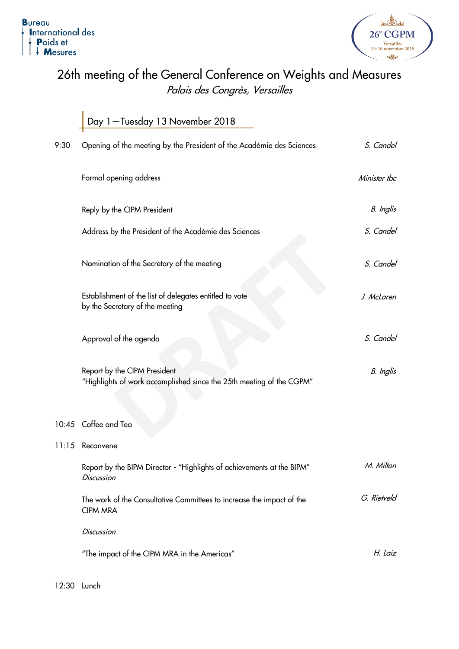

## 26th meeting of the General Conference on Weights and Measures Palais des Congrès, Versailles

|       | Day 1-Tuesday 13 November 2018                                                                       |                  |
|-------|------------------------------------------------------------------------------------------------------|------------------|
| 9:30  | Opening of the meeting by the President of the Académie des Sciences                                 | S. Candel        |
|       | Formal opening address                                                                               | Minister tbc     |
|       | Reply by the CIPM President                                                                          | B. Inglis        |
|       | Address by the President of the Académie des Sciences                                                | S. Candel        |
|       | Nomination of the Secretary of the meeting                                                           | S. Candel        |
|       | Establishment of the list of delegates entitled to vote<br>by the Secretary of the meeting           | J. McLaren       |
|       | Approval of the agenda                                                                               | S. Candel        |
|       | Report by the CIPM President<br>"Highlights of work accomplished since the 25th meeting of the CGPM" | <b>B.</b> Inglis |
| 10:45 | Coffee and Tea                                                                                       |                  |
| 11:15 | Reconvene                                                                                            |                  |
|       | Report by the BIPM Director - "Highlights of achievements at the BIPM"<br>Discussion                 | M. Milton        |
|       | The work of the Consultative Committees to increase the impact of the<br><b>CIPM MRA</b>             | G. Rietveld      |
|       | Discussion                                                                                           |                  |
|       | "The impact of the CIPM MRA in the Americas"                                                         | H. Laiz          |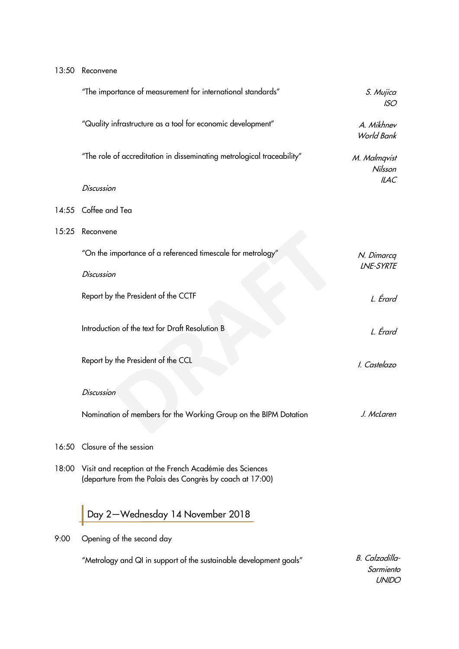|       | "The importance of measurement for international standards"                                                          | S. Mujica<br>ISO                            |
|-------|----------------------------------------------------------------------------------------------------------------------|---------------------------------------------|
|       | "Quality infrastructure as a tool for economic development"                                                          | A. Mikhnev<br><b>World Bank</b>             |
|       | "The role of accreditation in disseminating metrological traceability"                                               | M. Malmqvist<br>Nilsson                     |
|       | Discussion                                                                                                           | <b>ILAC</b>                                 |
|       | 14:55 Coffee and Tea                                                                                                 |                                             |
| 15:25 | Reconvene                                                                                                            |                                             |
|       | "On the importance of a referenced timescale for metrology"<br>Discussion                                            | N. Dimarcq<br><b>LNE-SYRTE</b>              |
|       | Report by the President of the CCTF                                                                                  |                                             |
|       |                                                                                                                      | L. Érard                                    |
|       | Introduction of the text for Draft Resolution B                                                                      | L. Érard                                    |
|       | Report by the President of the CCL                                                                                   | I. Castelazo                                |
|       | Discussion                                                                                                           |                                             |
|       | Nomination of members for the Working Group on the BIPM Dotation                                                     | J. McLaren                                  |
|       | 16:50 Closure of the session                                                                                         |                                             |
| 18:00 | Visit and reception at the French Académie des Sciences<br>(departure from the Palais des Congrès by coach at 17:00) |                                             |
|       | Day 2-Wednesday 14 November 2018                                                                                     |                                             |
| 9:00  | Opening of the second day                                                                                            |                                             |
|       | "Metrology and QI in support of the sustainable development goals"                                                   | B. Calzadilla-<br>Sarmiento<br><b>UNIDO</b> |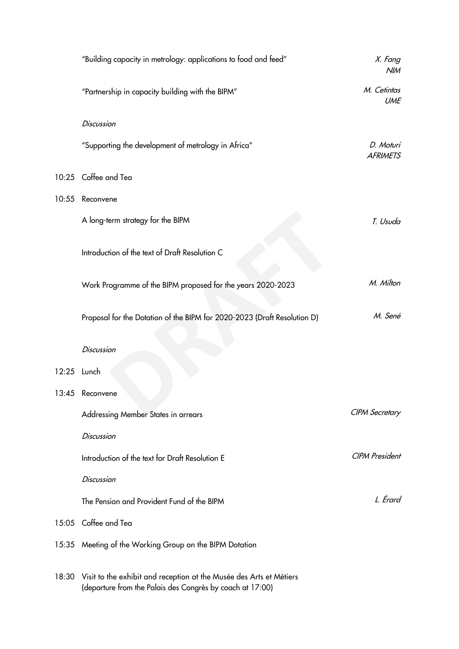|       | "Building capacity in metrology: applications to food and feed"                                                                  | X. Fang<br><b>NIM</b>        |
|-------|----------------------------------------------------------------------------------------------------------------------------------|------------------------------|
|       | "Partnership in capacity building with the BIPM"                                                                                 | M. Cetintas<br><b>UME</b>    |
|       | Discussion                                                                                                                       |                              |
|       | "Supporting the development of metrology in Africa"                                                                              | D. Moturi<br><b>AFRIMETS</b> |
|       | 10:25 Coffee and Tea                                                                                                             |                              |
| 10:55 | Reconvene                                                                                                                        |                              |
|       | A long-term strategy for the BIPM                                                                                                | T. Usuda                     |
|       | Introduction of the text of Draft Resolution C                                                                                   |                              |
|       | Work Programme of the BIPM proposed for the years 2020-2023                                                                      | M. Milton                    |
|       | Proposal for the Dotation of the BIPM for 2020-2023 (Draft Resolution D)                                                         | M. Sené                      |
|       | Discussion                                                                                                                       |                              |
| 12:25 | Lunch                                                                                                                            |                              |
| 13:45 | Reconvene                                                                                                                        |                              |
|       | Addressing Member States in arrears                                                                                              | <b>CIPM Secretary</b>        |
|       | Discussion                                                                                                                       |                              |
|       | Introduction of the text for Draft Resolution E                                                                                  | <b>CIPM President</b>        |
|       | Discussion                                                                                                                       |                              |
|       | The Pension and Provident Fund of the BIPM                                                                                       | L. Érard                     |
|       | 15:05 Coffee and Tea                                                                                                             |                              |
|       | 15:35 Meeting of the Working Group on the BIPM Dotation                                                                          |                              |
| 18:30 | Visit to the exhibit and reception at the Musée des Arts et Métiers<br>(departure from the Palais des Congrès by coach at 17:00) |                              |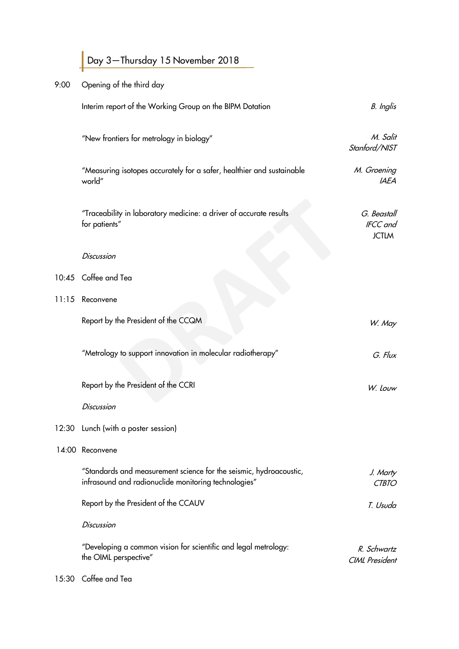| 9:00  | Opening of the third day                                                                                                   |                                                |
|-------|----------------------------------------------------------------------------------------------------------------------------|------------------------------------------------|
|       | Interim report of the Working Group on the BIPM Dotation                                                                   | B. Inglis                                      |
|       | "New frontiers for metrology in biology"                                                                                   | M. Salit<br>Stanford/NIST                      |
|       | "Measuring isotopes accurately for a safer, healthier and sustainable<br>world"                                            | M. Groening<br><b>IAEA</b>                     |
|       | "Traceability in laboratory medicine: a driver of accurate results<br>for patients"                                        | G. Beastall<br><b>IFCC</b> and<br><b>JCTLM</b> |
|       | Discussion                                                                                                                 |                                                |
|       | 10:45 Coffee and Tea                                                                                                       |                                                |
| 11:15 | Reconvene                                                                                                                  |                                                |
|       | Report by the President of the CCQM                                                                                        | W. May                                         |
|       | "Metrology to support innovation in molecular radiotherapy"                                                                | G. Flux                                        |
|       | Report by the President of the CCRI                                                                                        | W. Louw                                        |
|       | Discussion                                                                                                                 |                                                |
|       | 12:30 Lunch (with a poster session)                                                                                        |                                                |
|       | 14:00 Reconvene                                                                                                            |                                                |
|       | "Standards and measurement science for the seismic, hydroacoustic,<br>infrasound and radionuclide monitoring technologies" | J. Marty<br><b>CTBTO</b>                       |
|       | Report by the President of the CCAUV                                                                                       | T. Usuda                                       |
|       | Discussion                                                                                                                 |                                                |
|       | "Developing a common vision for scientific and legal metrology:<br>the OIML perspective"                                   | R. Schwartz<br><b>CIML</b> President           |

15:30 Coffee and Tea